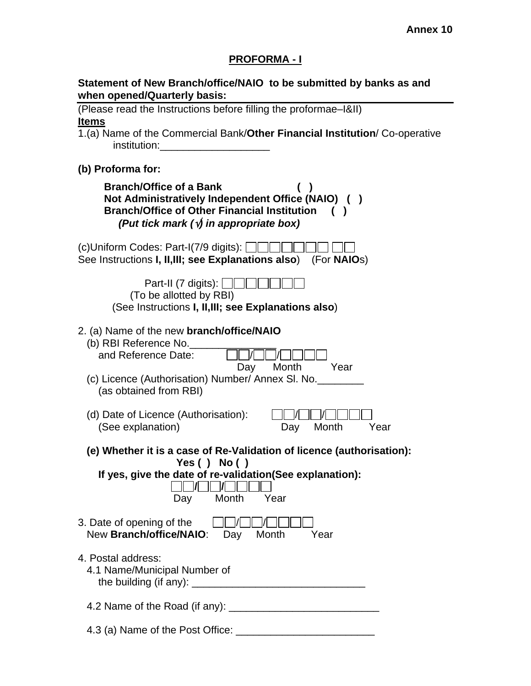# **PROFORMA - I**

|                              | Statement of New Branch/office/NAIO to be submitted by banks as and |  |
|------------------------------|---------------------------------------------------------------------|--|
| when opened/Quarterly basis: |                                                                     |  |

| (Please read the Instructions before filling the proformae–1&II)                                                                                                                                        |
|---------------------------------------------------------------------------------------------------------------------------------------------------------------------------------------------------------|
| <b>Items</b><br>1.(a) Name of the Commercial Bank/Other Financial Institution/ Co-operative                                                                                                             |
| institution:                                                                                                                                                                                            |
| (b) Proforma for:                                                                                                                                                                                       |
| <b>Branch/Office of a Bank</b><br>Not Administratively Independent Office (NAIO) ()<br><b>Branch/Office of Other Financial Institution</b><br>(Put tick mark $(\sqrt{y})$ in appropriate box)           |
| (c)Uniform Codes: Part-I(7/9 digits): $\Box$<br>See Instructions I, II, III; see Explanations also)<br>(For <b>NAIO</b> s)                                                                              |
| Part-II (7 digits): $\ \cdot\ $<br>(To be allotted by RBI)<br>(See Instructions I, II, III; see Explanations also)                                                                                      |
| 2. (a) Name of the new <b>branch/office/NAIO</b><br>(b) RBI Reference No.<br>and Reference Date:<br>Month<br>Day<br>Year<br>(c) Licence (Authorisation) Number/ Annex SI. No.<br>(as obtained from RBI) |
| (d) Date of Licence (Authorisation):<br>Month<br>(See explanation)<br>Year<br>Day                                                                                                                       |
| (e) Whether it is a case of Re-Validation of licence (authorisation):                                                                                                                                   |
| Yes $()$ No $()$<br>If yes, give the date of re-validation (See explanation):<br>Month<br>Year<br>Day                                                                                                   |
| 3. Date of opening of the<br>New Branch/office/NAIO:<br>Month<br>Day<br>Year                                                                                                                            |
| 4. Postal address:<br>4.1 Name/Municipal Number of                                                                                                                                                      |
|                                                                                                                                                                                                         |
| 4.3 (a) Name of the Post Office:                                                                                                                                                                        |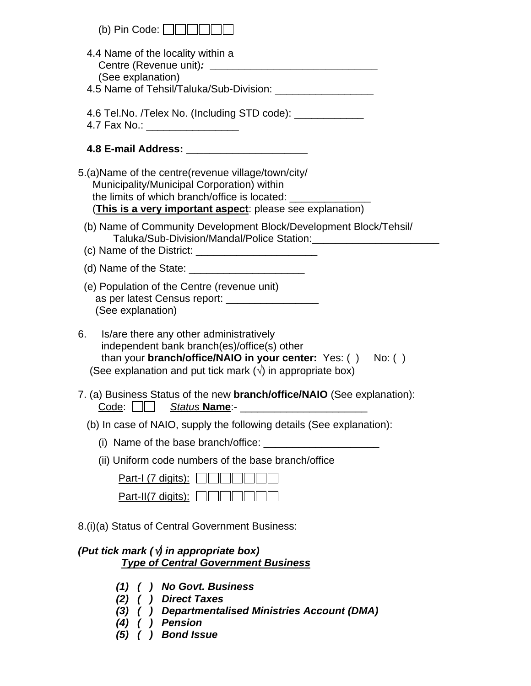| (b) Pin Code: $\Box$                                                                                                                                                                                                                     |
|------------------------------------------------------------------------------------------------------------------------------------------------------------------------------------------------------------------------------------------|
| 4.4 Name of the locality within a<br>(See explanation)<br>4.5 Name of Tehsil/Taluka/Sub-Division: ______________________                                                                                                                 |
| 4.6 Tel.No. /Telex No. (Including STD code): ___________<br>4.7 Fax No.: __________________                                                                                                                                              |
|                                                                                                                                                                                                                                          |
| 5.(a) Name of the centre (revenue village/town/city/<br>Municipality/Municipal Corporation) within<br>the limits of which branch/office is located: _____________<br>(This is a very important aspect: please see explanation)           |
| (b) Name of Community Development Block/Development Block/Tehsil/<br>Taluka/Sub-Division/Mandal/Police Station:                                                                                                                          |
|                                                                                                                                                                                                                                          |
| (e) Population of the Centre (revenue unit)<br>as per latest Census report: ___________________<br>(See explanation)                                                                                                                     |
| 6.<br>Is/are there any other administratively<br>independent bank branch(es)/office(s) other<br>than your <b>branch/office/NAIO in your center:</b> Yes: () No: ()<br>(See explanation and put tick mark $(\sqrt{})$ in appropriate box) |
| 7. (a) Business Status of the new <b>branch/office/NAIO</b> (See explanation):                                                                                                                                                           |
| (b) In case of NAIO, supply the following details (See explanation):                                                                                                                                                                     |
| (i) Name of the base branch/office:                                                                                                                                                                                                      |
| (ii) Uniform code numbers of the base branch/office                                                                                                                                                                                      |
| <u>Part-I (7 digits):</u>                                                                                                                                                                                                                |
| $Part-II(7 \text{ digits})$ :                                                                                                                                                                                                            |
| 8.(i)(a) Status of Central Government Business:                                                                                                                                                                                          |
| (Put tick mark $(\sqrt{y})$ in appropriate box)<br><b>Type of Central Government Business</b>                                                                                                                                            |
| ) No Govt. Business<br>(1)<br><b>Direct Taxes</b><br>(2)                                                                                                                                                                                 |

- *(3) ( ) Departmentalised Ministries Account (DMA)*
- *(4) ( ) Pension*
- *(5) ( ) Bond Issue*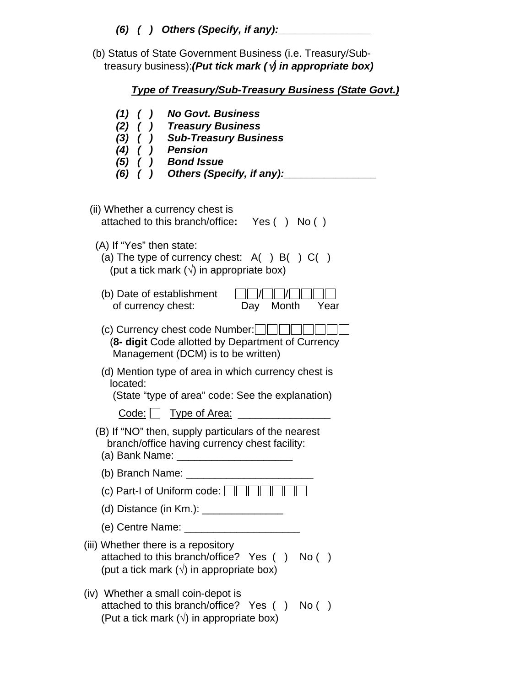(b) Status of State Government Business (i.e. Treasury/Sub treasury business):*(Put tick mark (*√*) in appropriate box)* 

| <b>Type of Treasury/Sub-Treasury Business (State Govt.)</b>                                                                                                                               |
|-------------------------------------------------------------------------------------------------------------------------------------------------------------------------------------------|
| <b>No Govt, Business</b><br>$(1)$ ( )<br>(2) ( ) Treasury Business<br>(3) ( ) Sub-Treasury Business<br>$(4)$ $( )$ Pension<br>$(5)$ ( ) Bond Issue<br>$(6)$ ( ) Others (Specify, if any): |
| (ii) Whether a currency chest is<br>attached to this branch/office:<br>Yes() No()                                                                                                         |
| (A) If "Yes" then state:<br>(a) The type of currency chest: $A( ) B( ) C( )$<br>(put a tick mark $(\sqrt{})$ in appropriate box)                                                          |
| (b) Date of establishment<br>Month<br>of currency chest:<br>Day<br>Year                                                                                                                   |
| (c) Currency chest code Number: $\Box$<br>(8- digit Code allotted by Department of Currency<br>Management (DCM) is to be written)                                                         |
| (d) Mention type of area in which currency chest is<br>located:<br>(State "type of area" code: See the explanation)                                                                       |
| <u>Code: J Type of Area:</u>                                                                                                                                                              |
| (B) If "NO" then, supply particulars of the nearest<br>branch/office having currency chest facility:<br>(a) Bank Name:                                                                    |
| (b) Branch Name: _________                                                                                                                                                                |
| (c) Part-I of Uniform code: $\Box$                                                                                                                                                        |
|                                                                                                                                                                                           |
|                                                                                                                                                                                           |
| (iii) Whether there is a repository<br>attached to this branch/office? Yes () No ()<br>(put a tick mark $(\sqrt{})$ in appropriate box)                                                   |
| (iv) Whether a small coin-depot is<br>attached to this branch/office? Yes ()<br>No( )<br>(Put a tick mark $(\sqrt{})$ in appropriate box)                                                 |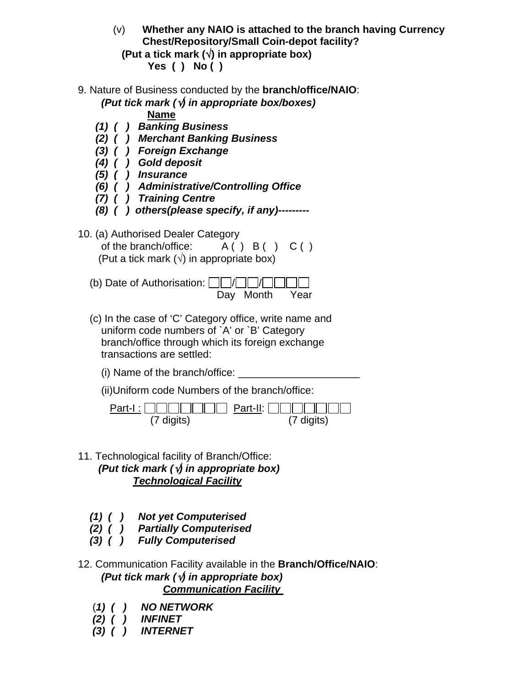- (v) **Whether any NAIO is attached to the branch having Currency Chest/Repository/Small Coin-depot facility?**
	- **(Put a tick mark (**√**) in appropriate box) Yes ( ) No ( )**
- 9. Nature of Business conducted by the **branch/office/NAIO**:

*(Put tick mark (*√*) in appropriate box/boxes)*

**Name**

- *(1) ( ) Banking Business*
- *(2) ( ) Merchant Banking Business*
- *(3) ( ) Foreign Exchange*
- *(4) ( ) Gold deposit*
- *(5) ( ) Insurance*
- *(6) ( ) Administrative/Controlling Office*
- *(7) ( ) Training Centre*
- *(8) ( ) others(please specify, if any)---------*
- 10. (a) Authorised Dealer Category of the branch/office:  $A() B() C()$ (Put a tick mark  $(\sqrt{})$  in appropriate box)
	- (b) Date of Authorisation:  $\Box$ Day Month Year
	- (c) In the case of 'C' Category office, write name and uniform code numbers of `A' or `B' Category branch/office through which its foreign exchange transactions are settled:
		- $(i)$  Name of the branch/office:
		- (ii)Uniform code Numbers of the branch/office:

| Part-I: $\ \ \ \ \ \ \ \ $           Part-II: $\ \ \ \ $ |            |
|----------------------------------------------------------|------------|
| (7 digits)                                               | (7 digits) |

- 11. Technological facility of Branch/Office: *(Put tick mark (*√*) in appropriate box) Technological Facility*
	- *(1) ( ) Not yet Computerised*
	- *(2) ( ) Partially Computerised*
	- *(3) ( ) Fully Computerised*
- 12. Communication Facility available in the **Branch/Office/NAIO**: *(Put tick mark (*√*) in appropriate box) Communication Facility* 
	- (*1) ( ) NO NETWORK*
	- *(2) ( ) INFINET*
	- *(3) ( ) INTERNET*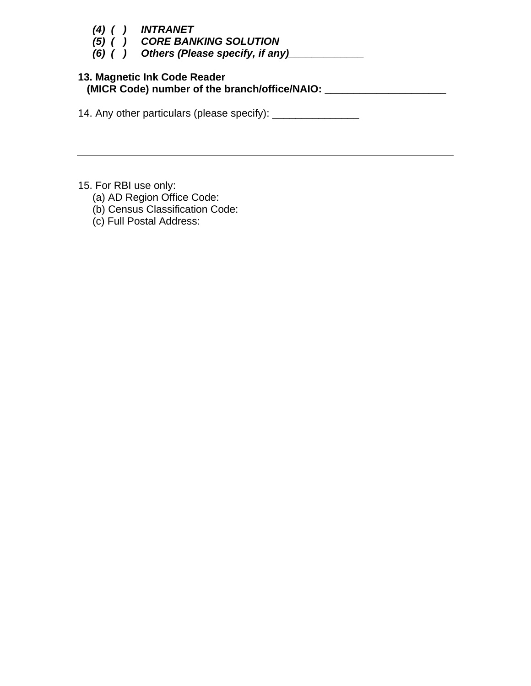| (4) (<br>(5)<br>$(6)$ ( ) | <i><b>INTRANET</b></i><br><b>CORE BANKING SOLUTION</b><br>Others (Please specify, if any) |
|---------------------------|-------------------------------------------------------------------------------------------|
|                           | 13. Magnetic Ink Code Reader<br>(MICR Code) number of the branch/office/NAIO: __          |
|                           | 14. Any other particulars (please specify):                                               |

15. For RBI use only:

- (a) AD Region Office Code:
- (b) Census Classification Code:
- (c) Full Postal Address: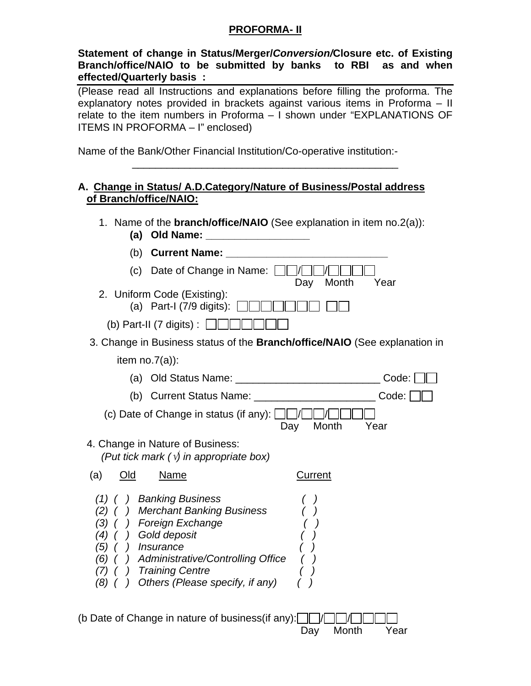### **PROFORMA- II**

**Statement of change in Status/Merger/***Conversion/***Closure etc. of Existing Branch/office/NAIO to be submitted by banks to RBI as and when effected/Quarterly basis :** 

(Please read all Instructions and explanations before filling the proforma. The explanatory notes provided in brackets against various items in Proforma – II relate to the item numbers in Proforma – I shown under "EXPLANATIONS OF ITEMS IN PROFORMA – I" enclosed)

\_\_\_\_\_\_\_\_\_\_\_\_\_\_\_\_\_\_\_\_\_\_\_\_\_\_\_\_\_\_\_\_\_\_\_\_\_\_\_\_\_\_\_\_\_\_

Name of the Bank/Other Financial Institution/Co-operative institution:-

### **A. Change in Status/ A.D.Category/Nature of Business/Postal address of Branch/office/NAIO:**

- 1. Name of the **branch/office/NAIO** (See explanation in item no.2(a)):
	- **(a) Old Name: \_\_\_\_\_\_\_\_\_\_\_\_\_\_\_\_\_\_**

| (b)                                    | <b>Current Name:</b>                                                                                                                                                                                                         |                                                                                   |
|----------------------------------------|------------------------------------------------------------------------------------------------------------------------------------------------------------------------------------------------------------------------------|-----------------------------------------------------------------------------------|
| (c)                                    | Date of Change in Name:                                                                                                                                                                                                      | Month<br>Day<br>Year                                                              |
|                                        | 2. Uniform Code (Existing):<br>(a) Part-I (7/9 digits): $\Box$                                                                                                                                                               |                                                                                   |
|                                        | (b) Part-II (7 digits) : $\Box$                                                                                                                                                                                              |                                                                                   |
|                                        |                                                                                                                                                                                                                              | 3. Change in Business status of the <b>Branch/office/NAIO</b> (See explanation in |
|                                        | item $no.7(a)$ :                                                                                                                                                                                                             |                                                                                   |
| (a)                                    |                                                                                                                                                                                                                              | Code:                                                                             |
|                                        |                                                                                                                                                                                                                              | Code:                                                                             |
|                                        | (c) Date of Change in status (if any):                                                                                                                                                                                       | Month<br>Year<br>Day                                                              |
|                                        | 4. Change in Nature of Business:<br>(Put tick mark $(\sqrt{y})$ in appropriate box)                                                                                                                                          |                                                                                   |
| Old<br>(a)                             | <u>Name</u>                                                                                                                                                                                                                  | Current                                                                           |
| (1)<br>(3)<br>(5)<br>(6)<br>(1)<br>(8) | <b>Banking Business</b><br><b>Merchant Banking Business</b><br>Foreign Exchange<br>Gold deposit<br><i><b>Insurance</b></i><br>Administrative/Controlling Office<br><b>Training Centre</b><br>Others (Please specify, if any) |                                                                                   |

(b Date of Change in nature of business (if any):  $\Box$ Day Month Year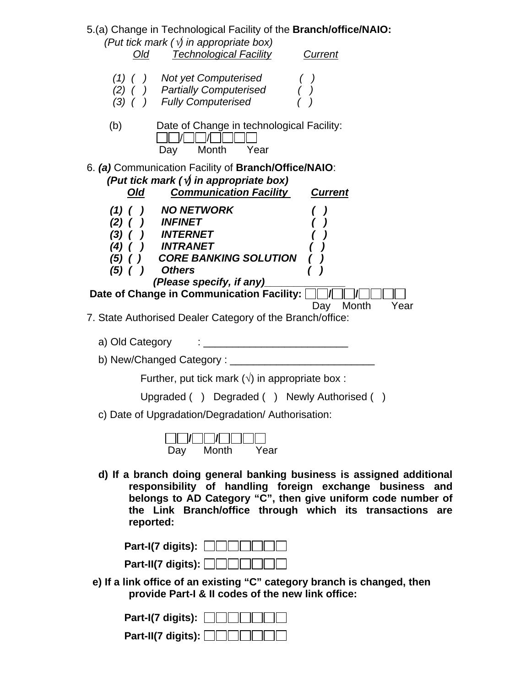5.(a) Change in Technological Facility of the **Branch/office/NAIO:**  *(Put tick mark (*√*) in appropriate box) Old Technological Facility Current (1) ( ) Not yet Computerised ( ) (2) ( ) Partially Computerised ( ) (3) ( ) Fully Computerised ( )*  (b) Date of Change in technological Facility:  $\Box$  /  $\Box$  /  $\Box$   $\Box$   $\Box$  Day Month Year 6. *(a)* Communication Facility of **Branch/Office/NAIO**: *(Put tick mark (*√*) in appropriate box) Old Communication Facility Current (1) ( ) NO NETWORK ( ) (2) ( ) INFINET ( ) (3) ( ) INTERNET*<br>*(4) ( ) INTRANET (4) ( ) INTRANET ( ) (5) ( ) CORE BANKING SOLUTION ( ) (5) ( ) Others ( ) (Please specify, if any)\_\_\_\_\_\_\_\_\_\_\_\_\_\_*  **Date of Change in Communication Facility:**  $\Box$ **/** $\Box$ **/** Day Month Year 7. State Authorised Dealer Category of the Branch/office: a) Old Category : \_\_\_\_\_\_\_\_\_\_\_\_\_\_\_\_\_\_\_\_\_\_\_\_\_ b) New/Changed Category : \_\_\_\_\_\_\_\_\_\_\_\_\_\_\_\_\_\_\_\_\_\_\_\_\_ Further, put tick mark  $(\sqrt{})$  in appropriate box : Upgraded ( ) Degraded ( ) Newly Authorised ( ) c) Date of Upgradation/Degradation/ Authorisation: **/ /** Day Month Year  **d) If a branch doing general banking business is assigned additional responsibility of handling foreign exchange business and belongs to AD Category "C", then give uniform code number of the Link Branch/office through which its transactions are reported:** 

 **Part-I(7 digits):**  $\Box$   $\Box$   $\Box$  **Part-II(7 digits):** 

 **e) If a link office of an existing "C" category branch is changed, then provide Part-I & II codes of the new link office:** 

| Part-I(7 digits): $\Box$                      |
|-----------------------------------------------|
| Part-II(7 digits): $\Box \Box \Box \Box \Box$ |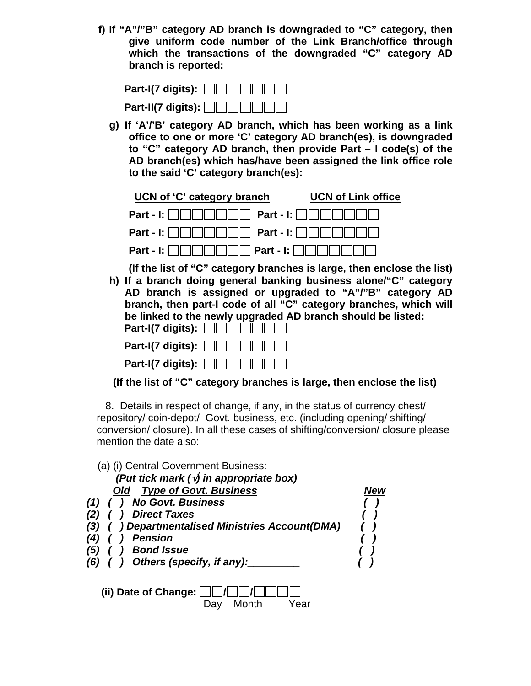**f) If "A"/"B" category AD branch is downgraded to "C" category, then give uniform code number of the Link Branch/office through which the transactions of the downgraded "C" category AD branch is reported:** 

| Part-I(7 digits): $\Box$  |
|---------------------------|
| Part-II(7 digits): $\Box$ |

**g) If 'A'/'B' category AD branch, which has been working as a link office to one or more 'C' category AD branch(es), is downgraded to "C" category AD branch, then provide Part – I code(s) of the AD branch(es) which has/have been assigned the link office role to the said 'C' category branch(es):** 

| UCN of 'C' category branch                                        | <b>UCN of Link office</b> |
|-------------------------------------------------------------------|---------------------------|
| Part - I: $\ \ \ \ \ \ \ \ \ $           Part - I: $\ \ \ \ \ \ $ |                           |
| Part - I: $\Box$                                                  |                           |
|                                                                   |                           |

**(If the list of "C" category branches is large, then enclose the list) h) If a branch doing general banking business alone/"C" category** 

**AD branch is assigned or upgraded to "A"/"B" category AD branch, then part-I code of all "C" category branches, which will be linked to the newly upgraded AD branch should be listed: Part-I(7 digits):**  $\Box$   $\Box$   $\Box$   $\Box$ 

| Part-I(7 digits): $\Box$ |
|--------------------------|

 **(If the list of "C" category branches is large, then enclose the list)** 

 8. Details in respect of change, if any, in the status of currency chest/ repository/ coin-depot/ Govt. business, etc. (including opening/ shifting/ conversion/ closure). In all these cases of shifting/conversion/ closure please mention the date also:

| (a) (i) Central Government Business:<br>(Put tick mark ( $\sqrt{y}$ in appropriate box)<br><b>Type of Govt. Business</b><br><b>Old</b><br><b>No Govt. Business</b><br><b>Direct Taxes</b><br><i>Departmentalised Ministries Account(DMA)</i><br>(3)<br><b>Pension</b><br><b>Bond Issue</b><br>(5)<br>Others (specify, if any):<br>$(6)$ ( ) | New |
|---------------------------------------------------------------------------------------------------------------------------------------------------------------------------------------------------------------------------------------------------------------------------------------------------------------------------------------------|-----|
| (ii) Date of Change:<br>Month<br>′ear<br>עaע                                                                                                                                                                                                                                                                                                |     |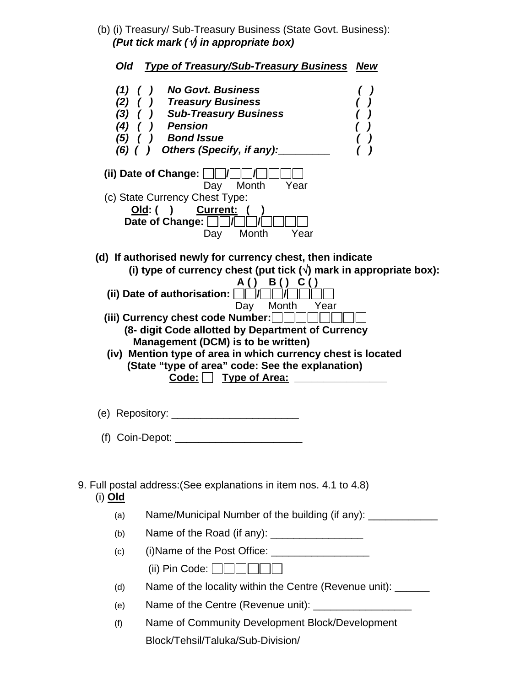(b) (i) Treasury/ Sub-Treasury Business (State Govt. Business): *(Put tick mark (*√*) in appropriate box)* 

|                                  | Old Type of Treasury/Sub-Treasury Business<br><b>New</b>                                                                                                                                                                                                                                                                                                                                                                                                                                                                                                              |
|----------------------------------|-----------------------------------------------------------------------------------------------------------------------------------------------------------------------------------------------------------------------------------------------------------------------------------------------------------------------------------------------------------------------------------------------------------------------------------------------------------------------------------------------------------------------------------------------------------------------|
| $(1)$ (<br>(2)<br>$(3)$ (<br>(5) | <b>No Govt. Business</b><br>) Treasury Business<br>) Sub-Treasury Business<br>(4) ( ) Pension<br>) Bond Issue<br>$($ )<br>$(6)$ ( ) Others (Specify, if any):<br>(ii) Date of Change: $\Box$<br>Month<br>Year<br>Day<br>(c) State Currency Chest Type:                                                                                                                                                                                                                                                                                                                |
|                                  | Old: ( ) Current: (<br>Date of Change: $\Box$<br>Month<br>Year<br>Day                                                                                                                                                                                                                                                                                                                                                                                                                                                                                                 |
|                                  | (d) If authorised newly for currency chest, then indicate<br>(i) type of currency chest (put tick $(\sqrt{})$ mark in appropriate box):<br>B() C()<br>A ( )<br>(ii) Date of authorisation: $\ \cdot\ $<br>$\vert \vert \vert \vert \vert \vert$<br>Day Month<br>Year<br>(iii) Currency chest code Number: $\Box$<br>(8- digit Code allotted by Department of Currency<br>Management (DCM) is to be written)<br>(iv) Mention type of area in which currency chest is located<br>(State "type of area" code: See the explanation)<br>Code: Type of Area: ______________ |
|                                  |                                                                                                                                                                                                                                                                                                                                                                                                                                                                                                                                                                       |
| (i) Old                          | 9. Full postal address: (See explanations in item nos. 4.1 to 4.8)                                                                                                                                                                                                                                                                                                                                                                                                                                                                                                    |
| (a)                              | Name/Municipal Number of the building (if any): _____________                                                                                                                                                                                                                                                                                                                                                                                                                                                                                                         |
| (b)                              | Name of the Road (if any): ________________                                                                                                                                                                                                                                                                                                                                                                                                                                                                                                                           |
| (c)                              | (i) Name of the Post Office: $\frac{1}{2}$<br>(ii) Pin Code: $\ \ \ \ \ \ $                                                                                                                                                                                                                                                                                                                                                                                                                                                                                           |
| (d)                              | Name of the locality within the Centre (Revenue unit): ______                                                                                                                                                                                                                                                                                                                                                                                                                                                                                                         |
| (e)                              | Name of the Centre (Revenue unit): _____________________                                                                                                                                                                                                                                                                                                                                                                                                                                                                                                              |
| (f)                              | Name of Community Development Block/Development                                                                                                                                                                                                                                                                                                                                                                                                                                                                                                                       |
|                                  | Block/Tehsil/Taluka/Sub-Division/                                                                                                                                                                                                                                                                                                                                                                                                                                                                                                                                     |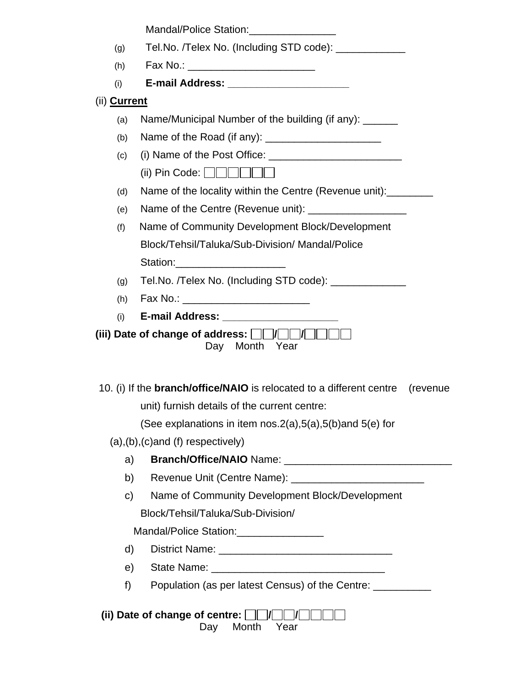|              | Mandal/Police Station:                                                                   |
|--------------|------------------------------------------------------------------------------------------|
| (g)          | Tel.No. /Telex No. (Including STD code): _____________                                   |
| (h)          | Fax No.: _________________________                                                       |
| (i)          | E-mail Address: ________________________                                                 |
| (ii) Current |                                                                                          |
| (a)          | Name/Municipal Number of the building (if any): ______                                   |
| (b)          |                                                                                          |
| (c)          |                                                                                          |
|              | (ii) Pin Code: $\Box$ $\Box$ $\Box$ $\Box$ $\Box$                                        |
| (d)          | Name of the locality within the Centre (Revenue unit):                                   |
| (e)          |                                                                                          |
| (f)          | Name of Community Development Block/Development                                          |
|              | Block/Tehsil/Taluka/Sub-Division/ Mandal/Police                                          |
|              | Station: Station:                                                                        |
|              |                                                                                          |
| (g)          | Tel.No. /Telex No. (Including STD code): ______________                                  |
| (h)          | Fax No.: _____________________________                                                   |
| (i)          |                                                                                          |
|              | (iii) Date of change of address: $\Box$ $\Box$ $\Box$ $\Box$ $\Box$<br>Month Year<br>Day |
|              | 10. (i) If the <b>branch/office/NAIO</b> is relocated to a different centre<br>(revenue) |
|              | unit) furnish details of the current centre:                                             |
|              | (See explanations in item nos. $2(a)$ , $5(a)$ , $5(b)$ and $5(e)$ for                   |
|              | $(a), (b), (c)$ and $(f)$ respectively)                                                  |
| a)           |                                                                                          |
| b)           |                                                                                          |
| $\mathsf{C}$ | Name of Community Development Block/Development                                          |
|              | Block/Tehsil/Taluka/Sub-Division/                                                        |
|              | Mandal/Police Station:_________________                                                  |
| $\mathsf{d}$ |                                                                                          |
| e)           |                                                                                          |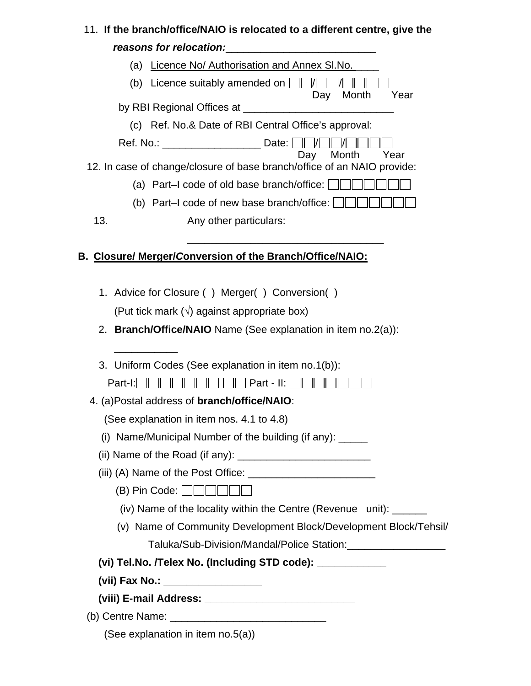# 11. **If the branch/office/NAIO is relocated to a different centre, give the**  *reasons for relocation:*\_\_\_\_\_\_\_\_\_\_\_\_\_\_\_\_\_\_\_\_\_\_\_\_\_\_

| (a)                                                      | Licence No/ Authorisation and Annex SI.No.                              |  |  |  |
|----------------------------------------------------------|-------------------------------------------------------------------------|--|--|--|
| (b)                                                      | Licence suitably amended on $\Box$<br>Month<br>Day<br>Year              |  |  |  |
|                                                          | by RBI Regional Offices at _____                                        |  |  |  |
|                                                          | (c) Ref. No.& Date of RBI Central Office's approval:                    |  |  |  |
|                                                          | Ref. No.: ________________________ Date: [<br>Day Month<br>Year         |  |  |  |
|                                                          | 12. In case of change/closure of base branch/office of an NAIO provide: |  |  |  |
|                                                          | (a) Part-I code of old base branch/office: $\ \cdot\ $                  |  |  |  |
|                                                          | (b) Part–I code of new base branch/office:                              |  |  |  |
| 13.                                                      | Any other particulars:                                                  |  |  |  |
|                                                          |                                                                         |  |  |  |
| B. Closure/ Merger/Conversion of the Branch/Office/NAIO: |                                                                         |  |  |  |
|                                                          |                                                                         |  |  |  |
|                                                          | 1. Advice for Closure () Merger() Conversion()                          |  |  |  |
|                                                          | (Put tick mark $(\sqrt{)}$ against appropriate box)                     |  |  |  |

2. **Branch/Office/NAIO** Name (See explanation in item no.2(a)):

|  | 3. Uniform Codes (See explanation in item no.1(b)): |  |  |  |  |  |
|--|-----------------------------------------------------|--|--|--|--|--|
|--|-----------------------------------------------------|--|--|--|--|--|

 $Part-I: \Box \Box \Box \Box \Box \Box \Box \Box \Box$  Part - II:  $\Box \Box \Box \Box \Box \Box$ 

4. (a)Postal address of **branch/office/NAIO**:

(See explanation in item nos. 4.1 to 4.8)

- (i) Name/Municipal Number of the building (if any):  $\frac{1}{\sqrt{1-\frac{1}{\sqrt{1-\frac{1}{\sqrt{1-\frac{1}{\sqrt{1-\frac{1}{\sqrt{1-\frac{1}{\sqrt{1-\frac{1}{\sqrt{1-\frac{1}{\sqrt{1-\frac{1}{\sqrt{1-\frac{1}{\sqrt{1-\frac{1}{\sqrt{1-\frac{1}{\sqrt{1-\frac{1}{\sqrt{1-\frac{1}{\sqrt{1-\frac{1}{\sqrt{1-\frac{1}{\sqrt{1-\frac{1}{\sqrt{1-\frac{1}{\sqrt{1-\frac{1}{\$
- (ii) Name of the Road (if any):  $\frac{1}{2}$   $\frac{1}{2}$   $\frac{1}{2}$   $\frac{1}{2}$   $\frac{1}{2}$   $\frac{1}{2}$   $\frac{1}{2}$   $\frac{1}{2}$   $\frac{1}{2}$   $\frac{1}{2}$   $\frac{1}{2}$   $\frac{1}{2}$   $\frac{1}{2}$   $\frac{1}{2}$   $\frac{1}{2}$   $\frac{1}{2}$   $\frac{1}{2}$   $\frac{1}{2}$   $\frac{1}{2}$
- (iii) (A) Name of the Post Office: \_\_\_\_\_\_\_\_\_\_\_\_\_\_\_\_\_\_\_\_\_\_
	- $(B)$  Pin Code:  $\Box \Box \Box \Box \Box$
	- (iv) Name of the locality within the Centre (Revenue unit): \_\_\_\_\_\_
	- (v) Name of Community Development Block/Development Block/Tehsil/ Taluka/Sub-Division/Mandal/Police Station:\_\_\_\_\_\_\_\_\_\_\_\_\_\_\_\_\_
- (vi) Tel.No. /Telex No. (Including STD code):
- **(vii) Fax No.: \_\_\_\_\_\_\_\_\_\_\_\_\_\_\_\_\_**

\_\_\_\_\_\_\_\_\_\_\_

- **(viii) E-mail Address: \_\_\_\_\_\_\_\_\_\_\_\_\_\_\_\_\_\_\_\_\_\_\_\_\_\_**
- (b) Centre Name:  $\blacksquare$

|  | (See explanation in item no.5(a)) |  |  |
|--|-----------------------------------|--|--|
|--|-----------------------------------|--|--|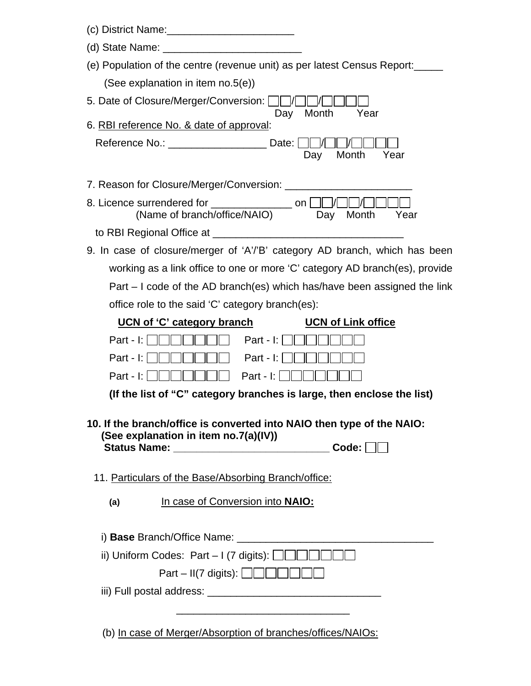| (e) Population of the centre (revenue unit) as per latest Census Report:                                                 |
|--------------------------------------------------------------------------------------------------------------------------|
| (See explanation in item no.5(e))                                                                                        |
| 5. Date of Closure/Merger/Conversion:      /<br>Month<br>Year<br>Day                                                     |
| 6. RBI reference No. & date of approval:                                                                                 |
| Reference No.: Date:<br>Month<br>Year<br>Day                                                                             |
| 7. Reason for Closure/Merger/Conversion: ____________                                                                    |
| 8. Licence surrendered for _________________ on $\Box$<br>(Name of branch/office/NAIO) Day<br>Month<br>Year              |
|                                                                                                                          |
| 9. In case of closure/merger of 'A'/'B' category AD branch, which has been                                               |
| working as a link office to one or more 'C' category AD branch(es), provide                                              |
| Part – I code of the AD branch(es) which has/have been assigned the link                                                 |
| office role to the said 'C' category branch(es):                                                                         |
| <b>UCN of Link office</b><br>UCN of 'C' category branch                                                                  |
| Part - I: $\parallel \ \parallel \ \parallel$<br>Part - $\vert$ : $\vert$                                                |
| Part - $\vert$ :<br>Part - $\vert$ : $\vert$                                                                             |
| Part - $\vert$ :<br>Part - $\vert$ :                                                                                     |
| (If the list of "C" category branches is large, then enclose the list)                                                   |
| 10. If the branch/office is converted into NAIO then type of the NAIO:<br>(See explanation in item no.7(a)(IV))<br>Code: |
| 11. Particulars of the Base/Absorbing Branch/office:                                                                     |
| In case of Conversion into NAIO:<br>(a)                                                                                  |
| i) Base Branch/Office Name:                                                                                              |
| ii) Uniform Codes: Part - I (7 digits): $\Box$                                                                           |
| $Part - II(7 \text{ digits}): \Box \Box \Box \Box \Box \Box$                                                             |
|                                                                                                                          |
| (b) In case of Merger/Absorption of branches/offices/NAIOs:                                                              |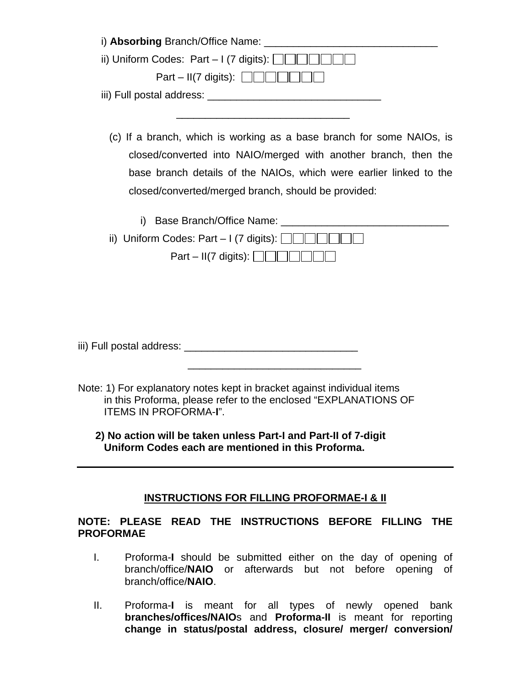| i) Absorbing Branch/Office Name: |                             |
|----------------------------------|-----------------------------|
|                                  |                             |
|                                  | Part – II(7 digits): $\Box$ |
|                                  |                             |

(c) If a branch, which is working as a base branch for some NAIOs, is closed/converted into NAIO/merged with another branch, then the base branch details of the NAIOs, which were earlier linked to the closed/converted/merged branch, should be provided:

| i) Base Branch/Office Name:                                           |  |
|-----------------------------------------------------------------------|--|
| ii) Uniform Codes: Part - I (7 digits): $\Box$                        |  |
| Part – II(7 digits): $\Box$ $\Box$ $\Box$ $\Box$ $\Box$ $\Box$ $\Box$ |  |

iii) Full postal address: \_\_\_\_\_\_\_\_\_\_\_\_\_\_\_\_\_\_\_\_\_\_\_\_\_\_\_\_\_\_

 $\frac{1}{\sqrt{2}}$  ,  $\frac{1}{\sqrt{2}}$  ,  $\frac{1}{\sqrt{2}}$  ,  $\frac{1}{\sqrt{2}}$  ,  $\frac{1}{\sqrt{2}}$  ,  $\frac{1}{\sqrt{2}}$  ,  $\frac{1}{\sqrt{2}}$  ,  $\frac{1}{\sqrt{2}}$  ,  $\frac{1}{\sqrt{2}}$  ,  $\frac{1}{\sqrt{2}}$  ,  $\frac{1}{\sqrt{2}}$  ,  $\frac{1}{\sqrt{2}}$  ,  $\frac{1}{\sqrt{2}}$  ,  $\frac{1}{\sqrt{2}}$  ,  $\frac{1}{\sqrt{2}}$ 

Note: 1) For explanatory notes kept in bracket against individual items in this Proforma, please refer to the enclosed "EXPLANATIONS OF ITEMS IN PROFORMA-**I**".

 **2) No action will be taken unless Part-I and Part-II of 7-digit Uniform Codes each are mentioned in this Proforma.** 

### **INSTRUCTIONS FOR FILLING PROFORMAE-I & II**

### **NOTE: PLEASE READ THE INSTRUCTIONS BEFORE FILLING THE PROFORMAE**

- I. Proforma-**I** should be submitted either on the day of opening of branch/office/**NAIO** or afterwards but not before opening of branch/office/**NAIO**.
- II. Proforma-**I** is meant for all types of newly opened bank **branches/offices/NAIO**s and **Proforma-II** is meant for reporting **change in status/postal address, closure/ merger/ conversion/**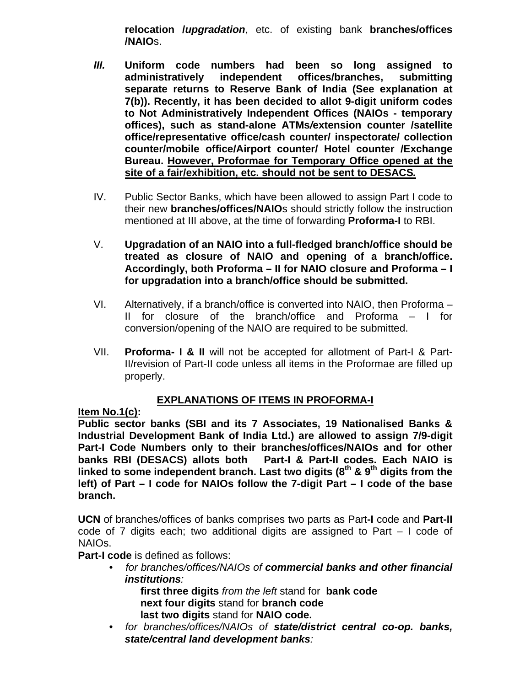**relocation /***upgradation*, etc. of existing bank **branches/offices /NAIO**s.

- *III.* **Uniform code numbers had been so long assigned to administratively independent offices/branches, submitting separate returns to Reserve Bank of India (See explanation at 7(b)). Recently, it has been decided to allot 9-digit uniform codes to Not Administratively Independent Offices (NAIOs - temporary offices), such as stand-alone ATMs***/***extension counter /satellite office/representative office/cash counter/ inspectorate/ collection counter/mobile office/Airport counter/ Hotel counter /Exchange Bureau. However, Proformae for Temporary Office opened at the site of a fair/exhibition, etc. should not be sent to DESACS***.*
- IV. Public Sector Banks, which have been allowed to assign Part I code to their new **branches/offices/NAIO**s should strictly follow the instruction mentioned at III above, at the time of forwarding **Proforma-I** to RBI.
- V. **Upgradation of an NAIO into a full-fledged branch/office should be treated as closure of NAIO and opening of a branch/office. Accordingly, both Proforma – II for NAIO closure and Proforma – I for upgradation into a branch/office should be submitted.**
- VI. Alternatively, if a branch/office is converted into NAIO, then Proforma II for closure of the branch/office and Proforma – I for conversion/opening of the NAIO are required to be submitted.
- VII. **Proforma- I & II** will not be accepted for allotment of Part-I & Part-II/revision of Part-II code unless all items in the Proformae are filled up properly.

### **EXPLANATIONS OF ITEMS IN PROFORMA-I**

### **Item No.1(c):**

**Public sector banks (SBI and its 7 Associates, 19 Nationalised Banks & Industrial Development Bank of India Ltd.) are allowed to assign 7/9-digit Part-I Code Numbers only to their branches/offices/NAIOs and for other banks RBI (DESACS) allots both Part-I & Part-II codes. Each NAIO is**  linked to some independent branch. Last two digits (8<sup>th</sup> & 9<sup>th</sup> digits from the **left) of Part – I code for NAIOs follow the 7-digit Part – I code of the base branch.** 

**UCN** of branches/offices of banks comprises two parts as Part**-I** code and **Part-II** code of 7 digits each; two additional digits are assigned to Part – I code of NAIOs.

**Part-I code** is defined as follows:

• *for branches/offices/NAIOs of commercial banks and other financial institutions:*

**first three digits** *from the left* stand for **bank code next four digits** stand for **branch code last two digits** stand for **NAIO code.**

• *for branches/offices/NAIOs of state/district central co-op. banks, state/central land development banks:*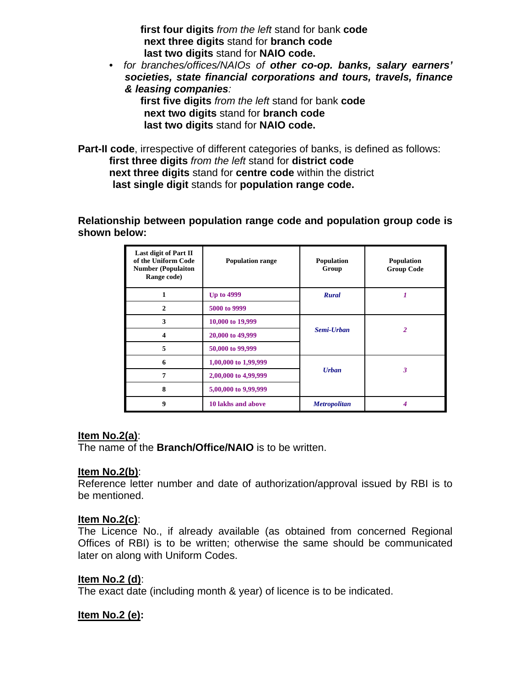**first four digits** *from the left* stand for bank **code next three digits** stand for **branch code last two digits** stand for **NAIO code.** 

• *for branches/offices/NAIOs of other co-op. banks, salary earners' societies, state financial corporations and tours, travels, finance & leasing companies:* 

**first five digits** *from the left* stand for bank **code next two digits** stand for **branch code last two digits** stand for **NAIO code.** 

**Part-II code**, irrespective of different categories of banks, is defined as follows:  **first three digits** *from the left* stand for **district code next three digits** stand for **centre code** within the district **last single digit** stands for **population range code.** 

**Relationship between population range code and population group code is shown below:** 

| Last digit of Part II<br>of the Uniform Code<br><b>Number (Populaiton</b><br>Range code) | <b>Population range</b> | Population<br>Group | Population<br><b>Group Code</b> |
|------------------------------------------------------------------------------------------|-------------------------|---------------------|---------------------------------|
|                                                                                          | <b>Up to 4999</b>       | <b>Rural</b>        |                                 |
| $\mathbf{2}$                                                                             | 5000 to 9999            |                     |                                 |
| 3                                                                                        | 10,000 to 19,999        |                     |                                 |
| $\overline{\mathbf{4}}$                                                                  | 20,000 to 49,999        | Semi-Urban          | $\overline{2}$                  |
| 5                                                                                        | 50,000 to 99,999        |                     |                                 |
| 6                                                                                        | 1,00,000 to 1,99,999    |                     |                                 |
| 7                                                                                        | 2,00,000 to 4,99,999    | <b>Urban</b>        | 3                               |
| 8                                                                                        | 5,00,000 to 9,99,999    |                     |                                 |
| 9                                                                                        | 10 lakhs and above      | <b>Metropolitan</b> |                                 |

#### **Item No.2(a)**:

The name of the **Branch/Office/NAIO** is to be written.

#### **Item No.2(b)**:

Reference letter number and date of authorization/approval issued by RBI is to be mentioned.

#### **Item No.2(c)**:

The Licence No., if already available (as obtained from concerned Regional Offices of RBI) is to be written; otherwise the same should be communicated later on along with Uniform Codes.

#### **Item No.2 (d)**:

The exact date (including month & year) of licence is to be indicated.

#### **Item No.2 (e):**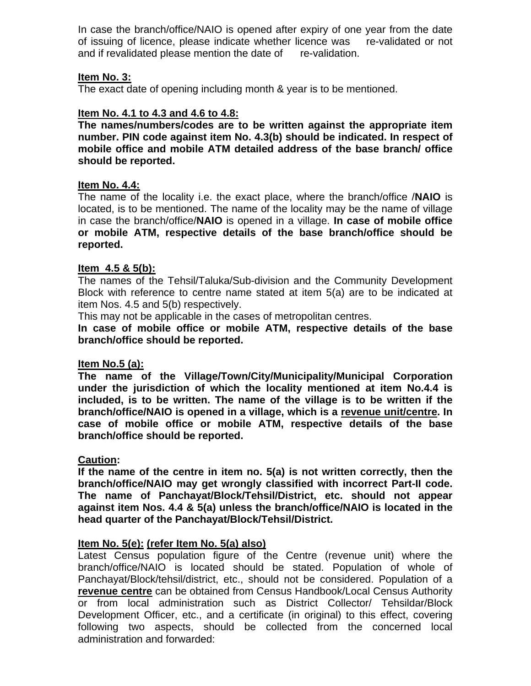In case the branch/office/NAIO is opened after expiry of one year from the date of issuing of licence, please indicate whether licence was re-validated or not and if revalidated please mention the date of re-validation.

### **Item No. 3:**

The exact date of opening including month & year is to be mentioned.

### **Item No. 4.1 to 4.3 and 4.6 to 4.8:**

**The names/numbers/codes are to be written against the appropriate item number. PIN code against item No. 4.3(b) should be indicated. In respect of mobile office and mobile ATM detailed address of the base branch/ office should be reported.** 

### **Item No. 4.4:**

The name of the locality i.e. the exact place, where the branch/office /**NAIO** is located, is to be mentioned. The name of the locality may be the name of village in case the branch/office/**NAIO** is opened in a village. **In case of mobile office or mobile ATM, respective details of the base branch/office should be reported.** 

#### **Item 4.5 & 5(b):**

The names of the Tehsil/Taluka/Sub-division and the Community Development Block with reference to centre name stated at item 5(a) are to be indicated at item Nos. 4.5 and 5(b) respectively.

This may not be applicable in the cases of metropolitan centres.

**In case of mobile office or mobile ATM, respective details of the base branch/office should be reported.** 

#### **Item No.5 (a):**

**The name of the Village/Town/City/Municipality/Municipal Corporation under the jurisdiction of which the locality mentioned at item No.4.4 is included, is to be written. The name of the village is to be written if the branch/office/NAIO is opened in a village, which is a revenue unit/centre. In case of mobile office or mobile ATM, respective details of the base branch/office should be reported.** 

#### **Caution:**

**If the name of the centre in item no. 5(a) is not written correctly, then the branch/office/NAIO may get wrongly classified with incorrect Part-II code. The name of Panchayat/Block/Tehsil/District, etc. should not appear against item Nos. 4.4 & 5(a) unless the branch/office/NAIO is located in the head quarter of the Panchayat/Block/Tehsil/District.** 

#### **Item No. 5(e): (refer Item No. 5(a) also)**

Latest Census population figure of the Centre (revenue unit) where the branch/office/NAIO is located should be stated. Population of whole of Panchayat/Block/tehsil/district, etc., should not be considered. Population of a **revenue centre** can be obtained from Census Handbook/Local Census Authority or from local administration such as District Collector/ Tehsildar/Block Development Officer, etc., and a certificate (in original) to this effect, covering following two aspects, should be collected from the concerned local administration and forwarded: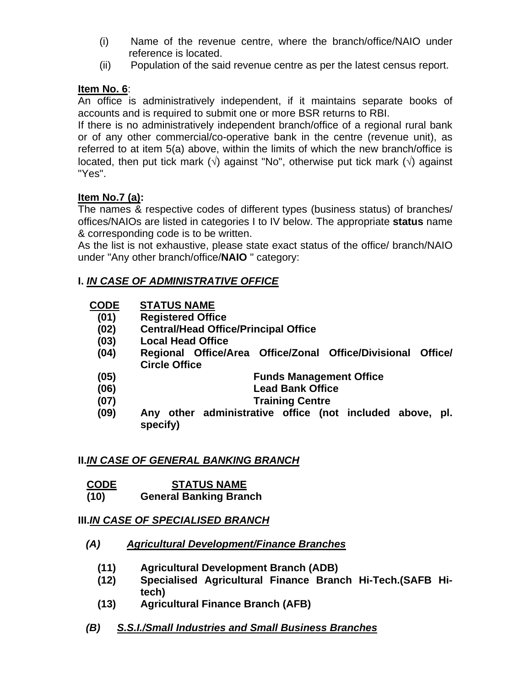- (i) Name of the revenue centre, where the branch/office/NAIO under reference is located.
- (ii) Population of the said revenue centre as per the latest census report.

## **Item No. 6**:

An office is administratively independent, if it maintains separate books of accounts and is required to submit one or more BSR returns to RBI.

If there is no administratively independent branch/office of a regional rural bank or of any other commercial/co-operative bank in the centre (revenue unit), as referred to at item 5(a) above, within the limits of which the new branch/office is located, then put tick mark ( $\sqrt{ }$ ) against "No", otherwise put tick mark ( $\sqrt{ }$ ) against "Yes".

# **Item No.7 (a):**

The names & respective codes of different types (business status) of branches/ offices/NAIOs are listed in categories I to IV below. The appropriate **status** name & corresponding code is to be written.

As the list is not exhaustive, please state exact status of the office/ branch/NAIO under "Any other branch/office/**NAIO** " category:

# **I.** *IN CASE OF ADMINISTRATIVE OFFICE*

| <b>CODE</b> | <b>STATUS NAME</b> |
|-------------|--------------------|
|             |                    |

- **(01) Registered Office**
- **(02) Central/Head Office/Principal Office**
- **(03) Local Head Office**
- **(04) Regional Office/Area Office/Zonal Office/Divisional Office/ Circle Office**

**(05) Funds Management Office** 

- **(06) Lead Bank Office**
- **(07) Training Centre**
- **(09) Any other administrative office (not included above, pl. specify)**

### **II.***IN CASE OF GENERAL BANKING BRANCH*

- **CODE STATUS NAME**
- **(10) General Banking Branch**

# **III.***IN CASE OF SPECIALISED BRANCH*

### *(A) Agricultural Development/Finance Branches*

- **(11) Agricultural Development Branch (ADB)**
- **(12) Specialised Agricultural Finance Branch Hi-Tech.(SAFB Hitech)**
- **(13) Agricultural Finance Branch (AFB)**

# *(B) S.S.I./Small Industries and Small Business Branches*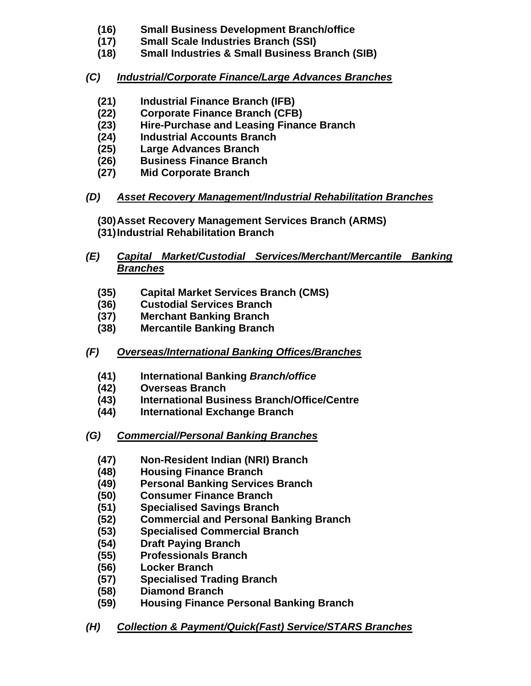- **(16) Small Business Development Branch/office**
- **(17) Small Scale Industries Branch (SSI)**
- **(18) Small Industries & Small Business Branch (SIB)**
- *(C) Industrial/Corporate Finance/Large Advances Branches*
	- **(21) Industrial Finance Branch (IFB)**
	- **(22) Corporate Finance Branch (CFB)**
	- **(23) Hire-Purchase and Leasing Finance Branch**
	- **(24) Industrial Accounts Branch**
	- **(25) Large Advances Branch**
	- **(26) Business Finance Branch**
	- **(27) Mid Corporate Branch**

# *(D) Asset Recovery Management/Industrial Rehabilitation Branches*

**(30) Asset Recovery Management Services Branch (ARMS) (31) Industrial Rehabilitation Branch** 

- *(E) Capital Market/Custodial Services/Merchant/Mercantile Banking Branches*
	- **(35) Capital Market Services Branch (CMS)**
	- **(36) Custodial Services Branch**
	- **(37) Merchant Banking Branch**
	- **(38) Mercantile Banking Branch**
- *(F) Overseas/International Banking Offices/Branches*
	- **(41) International Banking** *Branch/office*
	- **(42) Overseas Branch**
	- **(43) International Business Branch/Office/Centre**
	- **(44) International Exchange Branch**
- *(G) Commercial/Personal Banking Branches*
	- **(47) Non-Resident Indian (NRI) Branch**
	- **(48) Housing Finance Branch**
	- **(49) Personal Banking Services Branch**
	- **(50) Consumer Finance Branch**
	- **(51) Specialised Savings Branch**
	- **(52) Commercial and Personal Banking Branch**
	- **(53) Specialised Commercial Branch**
	- **(54) Draft Paying Branch**
	- **(55) Professionals Branch**
	- **(56) Locker Branch**
	- **(57) Specialised Trading Branch**
	- **(58) Diamond Branch**
	- **(59) Housing Finance Personal Banking Branch**

# *(H) Collection & Payment/Quick(Fast) Service/STARS Branches*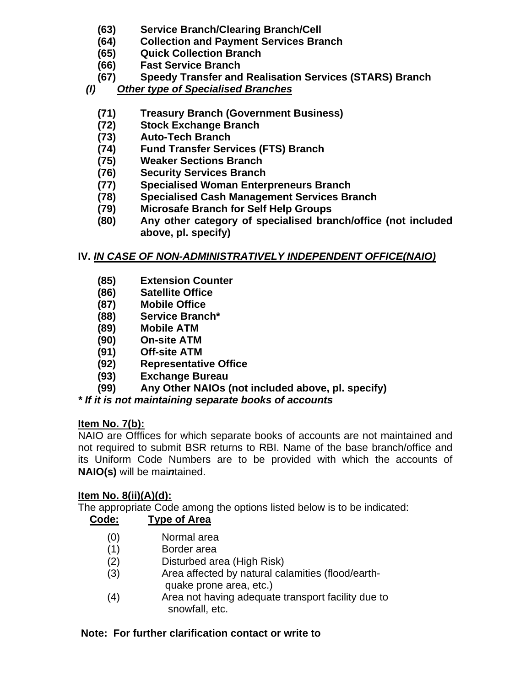- **(63) Service Branch/Clearing Branch/Cell**
- **(64) Collection and Payment Services Branch**
- **(65) Quick Collection Branch**
- **(66) Fast Service Branch**
- **(67) Speedy Transfer and Realisation Services (STARS) Branch**
- *(I) Other type of Specialised Branches*
	- **(71) Treasury Branch (Government Business)**
	- **(72) Stock Exchange Branch**
	- **(73) Auto-Tech Branch**
	- **(74) Fund Transfer Services (FTS) Branch**
	- **(75) Weaker Sections Branch**
	- **(76) Security Services Branch**
	- **(77) Specialised Woman Enterpreneurs Branch**
	- **(78) Specialised Cash Management Services Branch**
	- **(79) Microsafe Branch for Self Help Groups**
	- **(80) Any other category of specialised branch/office (not included above, pl. specify)**

# **IV.** *IN CASE OF NON-ADMINISTRATIVELY INDEPENDENT OFFICE(NAIO)*

- **(85) Extension Counter**
- **(86) Satellite Office**
- **(87) Mobile Office**
- **(88) Service Branch\***
- **(89) Mobile ATM**
- **(90) On-site ATM**
- **(91) Off-site ATM**
- **(92) Representative Office**
- **(93) Exchange Bureau**
- **(99) Any Other NAIOs (not included above, pl. specify)**

# *\* If it is not maintaining separate books of accounts*

### **Item No. 7(b):**

NAIO are Offfices for which separate books of accounts are not maintained and not required to submit BSR returns to RBI. Name of the base branch/office and its Uniform Code Numbers are to be provided with which the accounts of **NAIO(s)** will be mai*n*tained.

### **Item No. 8(ii)(A)(d):**

The appropriate Code among the options listed below is to be indicated:

# **Code: Type of Area**

- (0) Normal area
- (1) Border area
- (2) Disturbed area (High Risk)
- (3) Area affected by natural calamities (flood/earth quake prone area, etc.)
- (4) Area not having adequate transport facility due to snowfall, etc.

# **Note: For further clarification contact or write to**